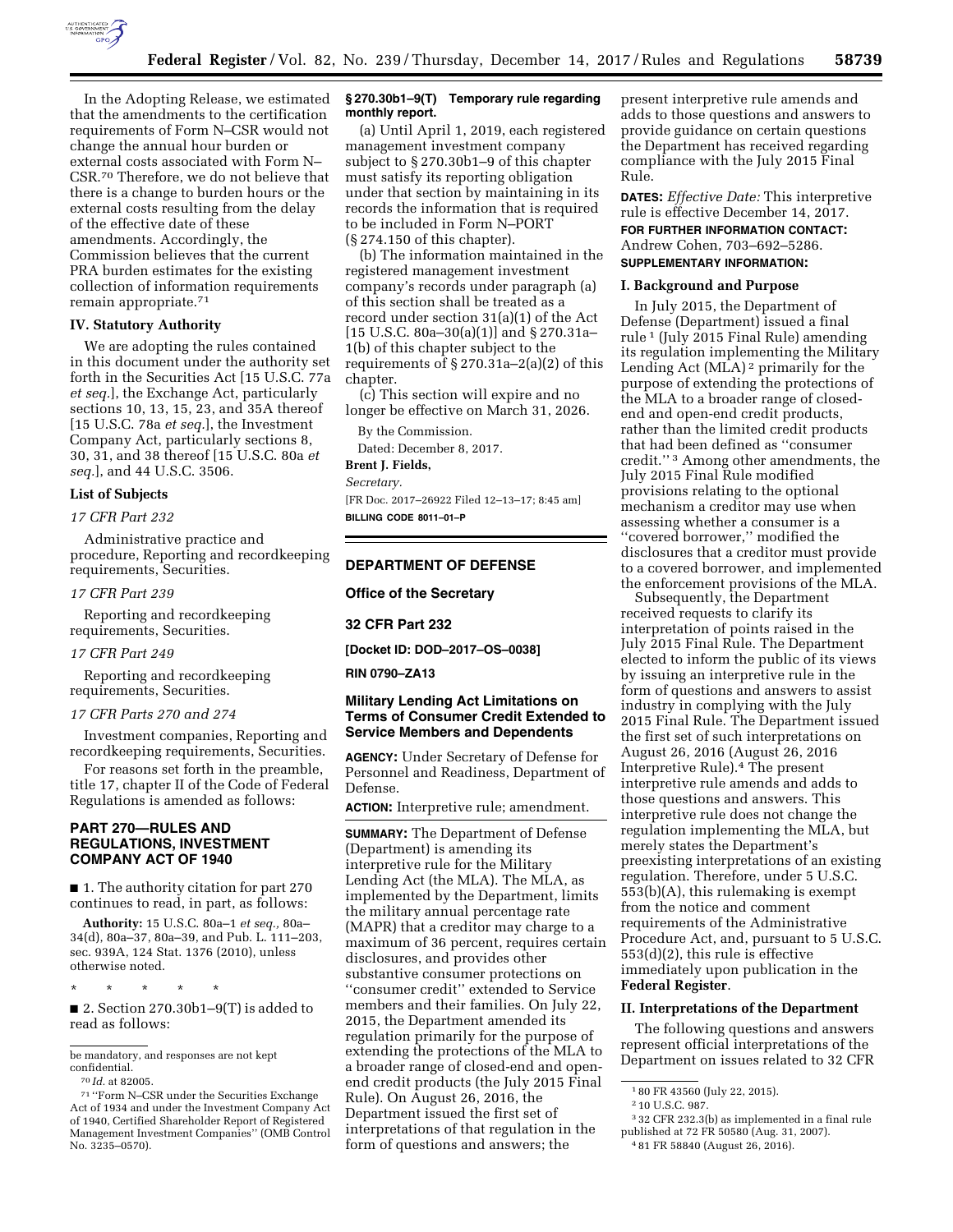

In the Adopting Release, we estimated that the amendments to the certification requirements of Form N–CSR would not change the annual hour burden or external costs associated with Form N– CSR.70 Therefore, we do not believe that there is a change to burden hours or the external costs resulting from the delay of the effective date of these amendments. Accordingly, the Commission believes that the current PRA burden estimates for the existing collection of information requirements remain appropriate.71

#### **IV. Statutory Authority**

We are adopting the rules contained in this document under the authority set forth in the Securities Act [15 U.S.C. 77a *et seq.*], the Exchange Act, particularly sections 10, 13, 15, 23, and 35A thereof [15 U.S.C. 78a *et seq.*], the Investment Company Act, particularly sections 8, 30, 31, and 38 thereof [15 U.S.C. 80a *et seq.*], and 44 U.S.C. 3506.

#### **List of Subjects**

#### *17 CFR Part 232*

Administrative practice and procedure, Reporting and recordkeeping requirements, Securities.

#### *17 CFR Part 239*

Reporting and recordkeeping requirements, Securities.

#### *17 CFR Part 249*

Reporting and recordkeeping requirements, Securities.

#### *17 CFR Parts 270 and 274*

Investment companies, Reporting and recordkeeping requirements, Securities.

For reasons set forth in the preamble, title 17, chapter II of the Code of Federal Regulations is amended as follows:

## **PART 270—RULES AND REGULATIONS, INVESTMENT COMPANY ACT OF 1940**

■ 1. The authority citation for part 270 continues to read, in part, as follows:

**Authority:** 15 U.S.C. 80a–1 *et seq.,* 80a– 34(d), 80a–37, 80a–39, and Pub. L. 111–203, sec. 939A, 124 Stat. 1376 (2010), unless otherwise noted.

\* \* \* \* \*

■ 2. Section 270.30b1-9(T) is added to read as follows:

be mandatory, and responses are not kept confidential.

### **§ 270.30b1–9(T) Temporary rule regarding monthly report.**

(a) Until April 1, 2019, each registered management investment company subject to § 270.30b1–9 of this chapter must satisfy its reporting obligation under that section by maintaining in its records the information that is required to be included in Form N–PORT (§ 274.150 of this chapter).

(b) The information maintained in the registered management investment company's records under paragraph (a) of this section shall be treated as a record under section 31(a)(1) of the Act  $[15 \text{ U.S.C. } 80a-30(a)(1)]$  and § 270.31a-1(b) of this chapter subject to the requirements of  $\S 270.31a-2(a)(2)$  of this chapter.

(c) This section will expire and no longer be effective on March 31, 2026.

By the Commission.

Dated: December 8, 2017.

#### **Brent J. Fields,**

*Secretary.* 

[FR Doc. 2017–26922 Filed 12–13–17; 8:45 am] **BILLING CODE 8011–01–P** 

### **DEPARTMENT OF DEFENSE**

**Office of the Secretary** 

## **32 CFR Part 232**

**[Docket ID: DOD–2017–OS–0038]** 

### **RIN 0790–ZA13**

## **Military Lending Act Limitations on Terms of Consumer Credit Extended to Service Members and Dependents**

**AGENCY:** Under Secretary of Defense for Personnel and Readiness, Department of Defense.

**ACTION:** Interpretive rule; amendment.

**SUMMARY:** The Department of Defense (Department) is amending its interpretive rule for the Military Lending Act (the MLA). The MLA, as implemented by the Department, limits the military annual percentage rate (MAPR) that a creditor may charge to a maximum of 36 percent, requires certain disclosures, and provides other substantive consumer protections on ''consumer credit'' extended to Service members and their families. On July 22, 2015, the Department amended its regulation primarily for the purpose of extending the protections of the MLA to a broader range of closed-end and openend credit products (the July 2015 Final Rule). On August 26, 2016, the Department issued the first set of interpretations of that regulation in the form of questions and answers; the

present interpretive rule amends and adds to those questions and answers to provide guidance on certain questions the Department has received regarding compliance with the July 2015 Final Rule.

**DATES:** *Effective Date:* This interpretive rule is effective December 14, 2017. **FOR FURTHER INFORMATION CONTACT:**  Andrew Cohen, 703–692–5286.

**SUPPLEMENTARY INFORMATION:** 

#### **I. Background and Purpose**

In July 2015, the Department of Defense (Department) issued a final rule 1 (July 2015 Final Rule) amending its regulation implementing the Military Lending Act (MLA) 2 primarily for the purpose of extending the protections of the MLA to a broader range of closedend and open-end credit products, rather than the limited credit products that had been defined as ''consumer credit.'' 3 Among other amendments, the July 2015 Final Rule modified provisions relating to the optional mechanism a creditor may use when assessing whether a consumer is a ''covered borrower,'' modified the disclosures that a creditor must provide to a covered borrower, and implemented the enforcement provisions of the MLA.

Subsequently, the Department received requests to clarify its interpretation of points raised in the July 2015 Final Rule. The Department elected to inform the public of its views by issuing an interpretive rule in the form of questions and answers to assist industry in complying with the July 2015 Final Rule. The Department issued the first set of such interpretations on August 26, 2016 (August 26, 2016 Interpretive Rule).4 The present interpretive rule amends and adds to those questions and answers. This interpretive rule does not change the regulation implementing the MLA, but merely states the Department's preexisting interpretations of an existing regulation. Therefore, under 5 U.S.C. 553(b)(A), this rulemaking is exempt from the notice and comment requirements of the Administrative Procedure Act, and, pursuant to 5 U.S.C. 553(d)(2), this rule is effective immediately upon publication in the **Federal Register**.

#### **II. Interpretations of the Department**

The following questions and answers represent official interpretations of the Department on issues related to 32 CFR

<sup>70</sup> *Id.* at 82005.

<sup>71</sup> ''Form N–CSR under the Securities Exchange Act of 1934 and under the Investment Company Act of 1940, Certified Shareholder Report of Registered Management Investment Companies'' (OMB Control No. 3235–0570).

<sup>1</sup> 80 FR 43560 (July 22, 2015).

<sup>2</sup> 10 U.S.C. 987.

<sup>3</sup> 32 CFR 232.3(b) as implemented in a final rule published at 72 FR 50580 (Aug. 31, 2007).

<sup>4</sup> 81 FR 58840 (August 26, 2016).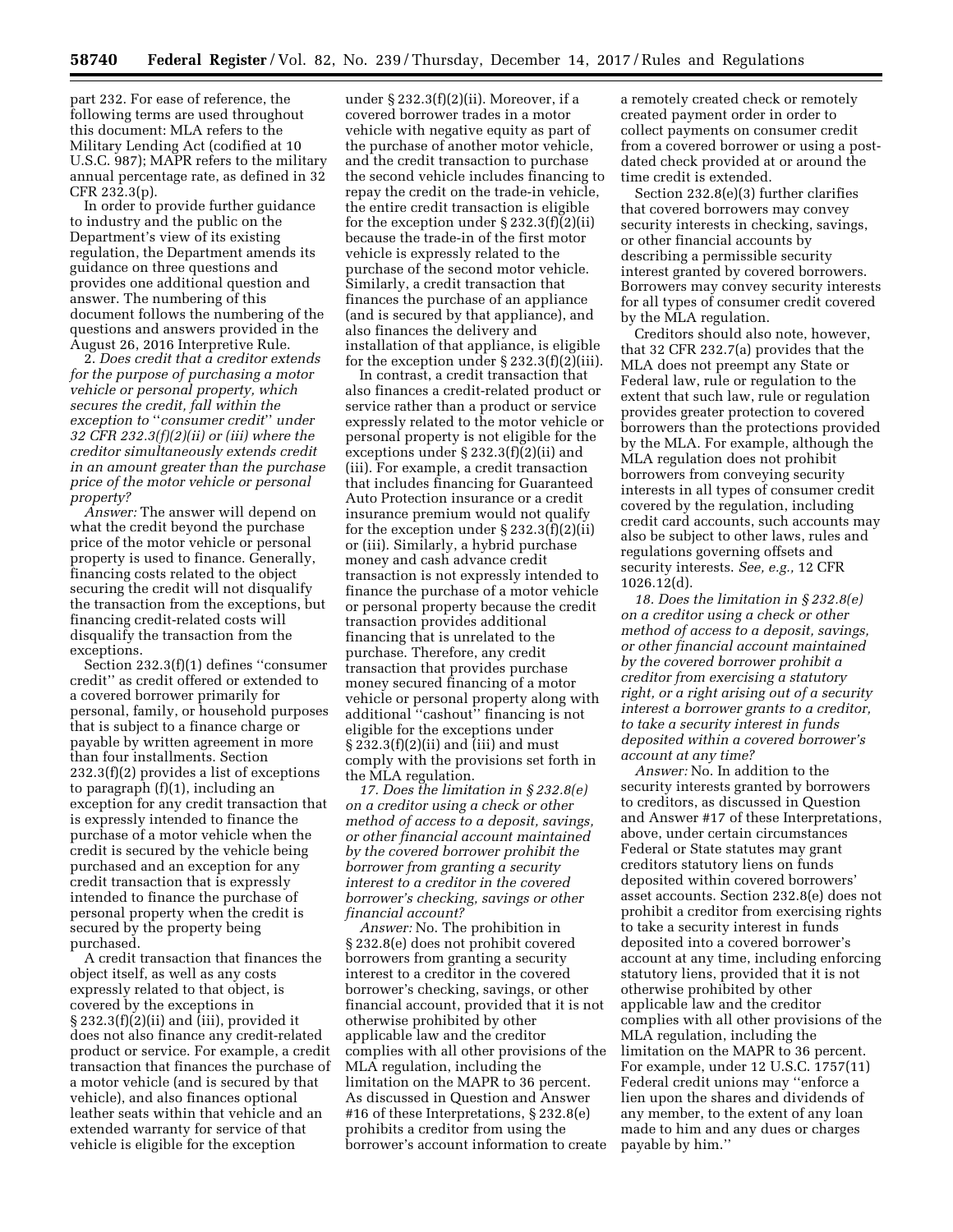part 232. For ease of reference, the following terms are used throughout this document: MLA refers to the Military Lending Act (codified at 10 U.S.C. 987); MAPR refers to the military annual percentage rate, as defined in 32 CFR 232.3(p).

In order to provide further guidance to industry and the public on the Department's view of its existing regulation, the Department amends its guidance on three questions and provides one additional question and answer. The numbering of this document follows the numbering of the questions and answers provided in the August 26, 2016 Interpretive Rule.

2. *Does credit that a creditor extends for the purpose of purchasing a motor vehicle or personal property, which secures the credit, fall within the exception to* ''*consumer credit*'' *under 32 CFR 232.3(f)(2)(ii) or (iii) where the creditor simultaneously extends credit in an amount greater than the purchase price of the motor vehicle or personal property?* 

*Answer:* The answer will depend on what the credit beyond the purchase price of the motor vehicle or personal property is used to finance. Generally, financing costs related to the object securing the credit will not disqualify the transaction from the exceptions, but financing credit-related costs will disqualify the transaction from the exceptions.

Section 232.3(f)(1) defines ''consumer credit'' as credit offered or extended to a covered borrower primarily for personal, family, or household purposes that is subject to a finance charge or payable by written agreement in more than four installments. Section 232.3(f)(2) provides a list of exceptions to paragraph (f)(1), including an exception for any credit transaction that is expressly intended to finance the purchase of a motor vehicle when the credit is secured by the vehicle being purchased and an exception for any credit transaction that is expressly intended to finance the purchase of personal property when the credit is secured by the property being purchased.

A credit transaction that finances the object itself, as well as any costs expressly related to that object, is covered by the exceptions in § 232.3(f)(2)(ii) and (iii), provided it does not also finance any credit-related product or service. For example, a credit transaction that finances the purchase of a motor vehicle (and is secured by that vehicle), and also finances optional leather seats within that vehicle and an extended warranty for service of that vehicle is eligible for the exception

under § 232.3(f)(2)(ii). Moreover, if a covered borrower trades in a motor vehicle with negative equity as part of the purchase of another motor vehicle, and the credit transaction to purchase the second vehicle includes financing to repay the credit on the trade-in vehicle, the entire credit transaction is eligible for the exception under  $\S 232.3(f)\overline{(2)}$ (ii) because the trade-in of the first motor vehicle is expressly related to the purchase of the second motor vehicle. Similarly, a credit transaction that finances the purchase of an appliance (and is secured by that appliance), and also finances the delivery and installation of that appliance, is eligible for the exception under § 232.3(f)(2)(iii).

In contrast, a credit transaction that also finances a credit-related product or service rather than a product or service expressly related to the motor vehicle or personal property is not eligible for the exceptions under § 232.3(f)(2)(ii) and (iii). For example, a credit transaction that includes financing for Guaranteed Auto Protection insurance or a credit insurance premium would not qualify for the exception under § 232.3(f)(2)(ii) or (iii). Similarly, a hybrid purchase money and cash advance credit transaction is not expressly intended to finance the purchase of a motor vehicle or personal property because the credit transaction provides additional financing that is unrelated to the purchase. Therefore, any credit transaction that provides purchase money secured financing of a motor vehicle or personal property along with additional ''cashout'' financing is not eligible for the exceptions under § 232.3(f)(2)(ii) and (iii) and must comply with the provisions set forth in the MLA regulation.

*17. Does the limitation in § 232.8(e) on a creditor using a check or other method of access to a deposit, savings, or other financial account maintained by the covered borrower prohibit the borrower from granting a security interest to a creditor in the covered borrower's checking, savings or other financial account?* 

*Answer:* No. The prohibition in § 232.8(e) does not prohibit covered borrowers from granting a security interest to a creditor in the covered borrower's checking, savings, or other financial account, provided that it is not otherwise prohibited by other applicable law and the creditor complies with all other provisions of the MLA regulation, including the limitation on the MAPR to 36 percent. As discussed in Question and Answer #16 of these Interpretations, § 232.8(e) prohibits a creditor from using the borrower's account information to create

a remotely created check or remotely created payment order in order to collect payments on consumer credit from a covered borrower or using a postdated check provided at or around the time credit is extended.

Section 232.8(e)(3) further clarifies that covered borrowers may convey security interests in checking, savings, or other financial accounts by describing a permissible security interest granted by covered borrowers. Borrowers may convey security interests for all types of consumer credit covered by the MLA regulation.

Creditors should also note, however, that 32 CFR 232.7(a) provides that the MLA does not preempt any State or Federal law, rule or regulation to the extent that such law, rule or regulation provides greater protection to covered borrowers than the protections provided by the MLA. For example, although the MLA regulation does not prohibit borrowers from conveying security interests in all types of consumer credit covered by the regulation, including credit card accounts, such accounts may also be subject to other laws, rules and regulations governing offsets and security interests. *See, e.g.,* 12 CFR 1026.12(d).

*18. Does the limitation in § 232.8(e) on a creditor using a check or other method of access to a deposit, savings, or other financial account maintained by the covered borrower prohibit a creditor from exercising a statutory right, or a right arising out of a security interest a borrower grants to a creditor, to take a security interest in funds deposited within a covered borrower's account at any time?* 

*Answer:* No. In addition to the security interests granted by borrowers to creditors, as discussed in Question and Answer #17 of these Interpretations, above, under certain circumstances Federal or State statutes may grant creditors statutory liens on funds deposited within covered borrowers' asset accounts. Section 232.8(e) does not prohibit a creditor from exercising rights to take a security interest in funds deposited into a covered borrower's account at any time, including enforcing statutory liens, provided that it is not otherwise prohibited by other applicable law and the creditor complies with all other provisions of the MLA regulation, including the limitation on the MAPR to 36 percent. For example, under 12 U.S.C. 1757(11) Federal credit unions may ''enforce a lien upon the shares and dividends of any member, to the extent of any loan made to him and any dues or charges payable by him.''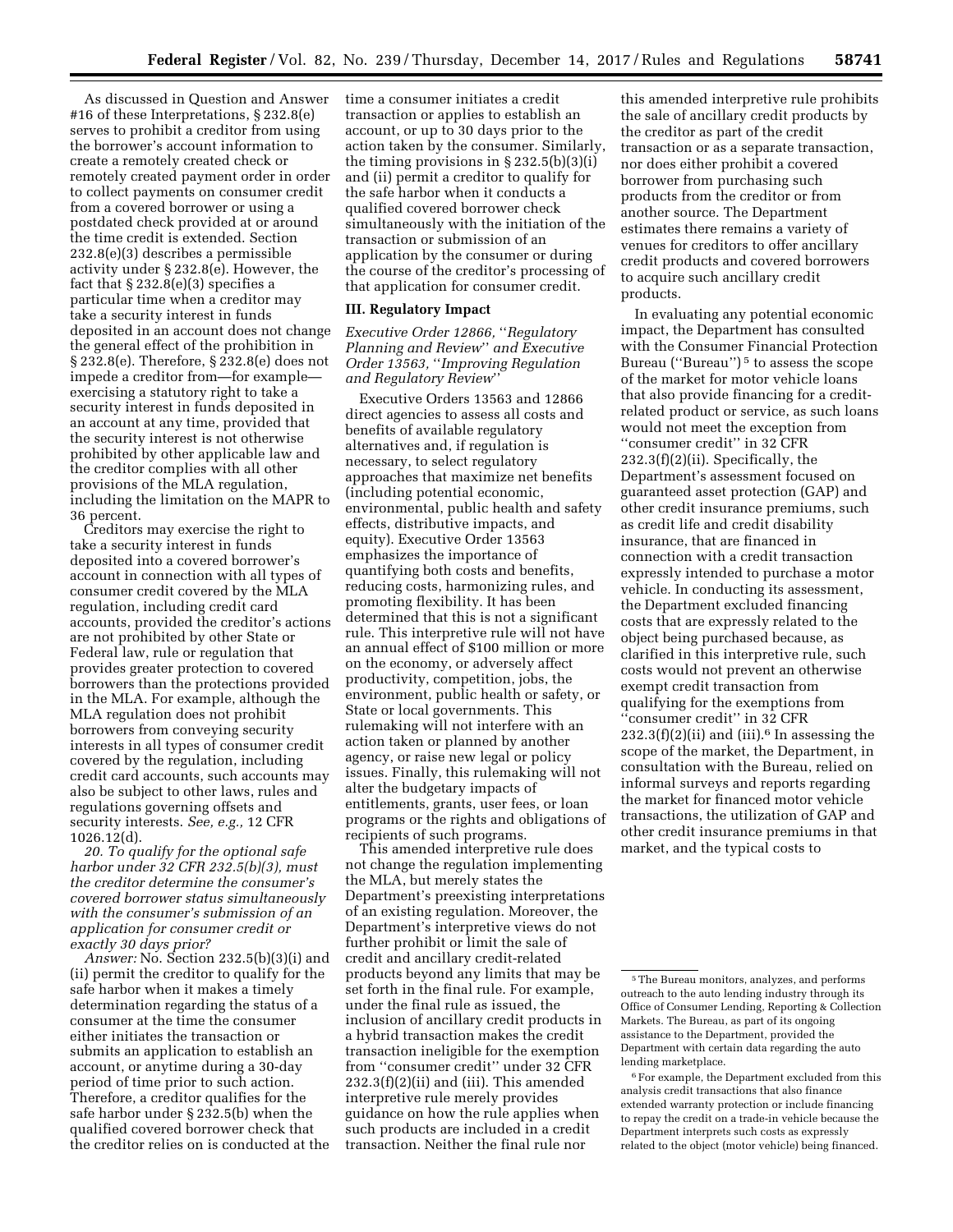As discussed in Question and Answer #16 of these Interpretations, § 232.8(e) serves to prohibit a creditor from using the borrower's account information to create a remotely created check or remotely created payment order in order to collect payments on consumer credit from a covered borrower or using a postdated check provided at or around the time credit is extended. Section 232.8(e)(3) describes a permissible activity under § 232.8(e). However, the fact that § 232.8(e)(3) specifies a particular time when a creditor may take a security interest in funds deposited in an account does not change the general effect of the prohibition in § 232.8(e). Therefore, § 232.8(e) does not impede a creditor from—for example exercising a statutory right to take a security interest in funds deposited in an account at any time, provided that the security interest is not otherwise prohibited by other applicable law and the creditor complies with all other provisions of the MLA regulation, including the limitation on the MAPR to 36 percent.

Creditors may exercise the right to take a security interest in funds deposited into a covered borrower's account in connection with all types of consumer credit covered by the MLA regulation, including credit card accounts, provided the creditor's actions are not prohibited by other State or Federal law, rule or regulation that provides greater protection to covered borrowers than the protections provided in the MLA. For example, although the MLA regulation does not prohibit borrowers from conveying security interests in all types of consumer credit covered by the regulation, including credit card accounts, such accounts may also be subject to other laws, rules and regulations governing offsets and security interests. *See, e.g.,* 12 CFR 1026.12(d).

*20. To qualify for the optional safe harbor under 32 CFR 232.5(b)(3), must the creditor determine the consumer's covered borrower status simultaneously with the consumer's submission of an application for consumer credit or exactly 30 days prior?* 

*Answer:* No. Section 232.5(b)(3)(i) and (ii) permit the creditor to qualify for the safe harbor when it makes a timely determination regarding the status of a consumer at the time the consumer either initiates the transaction or submits an application to establish an account, or anytime during a 30-day period of time prior to such action. Therefore, a creditor qualifies for the safe harbor under § 232.5(b) when the qualified covered borrower check that the creditor relies on is conducted at the

time a consumer initiates a credit transaction or applies to establish an account, or up to 30 days prior to the action taken by the consumer. Similarly, the timing provisions in § 232.5(b)(3)(i) and (ii) permit a creditor to qualify for the safe harbor when it conducts a qualified covered borrower check simultaneously with the initiation of the transaction or submission of an application by the consumer or during the course of the creditor's processing of that application for consumer credit.

#### **III. Regulatory Impact**

*Executive Order 12866,* ''*Regulatory Planning and Review*'' *and Executive Order 13563,* ''*Improving Regulation and Regulatory Review*''

Executive Orders 13563 and 12866 direct agencies to assess all costs and benefits of available regulatory alternatives and, if regulation is necessary, to select regulatory approaches that maximize net benefits (including potential economic, environmental, public health and safety effects, distributive impacts, and equity). Executive Order 13563 emphasizes the importance of quantifying both costs and benefits, reducing costs, harmonizing rules, and promoting flexibility. It has been determined that this is not a significant rule. This interpretive rule will not have an annual effect of \$100 million or more on the economy, or adversely affect productivity, competition, jobs, the environment, public health or safety, or State or local governments. This rulemaking will not interfere with an action taken or planned by another agency, or raise new legal or policy issues. Finally, this rulemaking will not alter the budgetary impacts of entitlements, grants, user fees, or loan programs or the rights and obligations of recipients of such programs.

This amended interpretive rule does not change the regulation implementing the MLA, but merely states the Department's preexisting interpretations of an existing regulation. Moreover, the Department's interpretive views do not further prohibit or limit the sale of credit and ancillary credit-related products beyond any limits that may be set forth in the final rule. For example, under the final rule as issued, the inclusion of ancillary credit products in a hybrid transaction makes the credit transaction ineligible for the exemption from ''consumer credit'' under 32 CFR 232.3(f)(2)(ii) and (iii). This amended interpretive rule merely provides guidance on how the rule applies when such products are included in a credit transaction. Neither the final rule nor

this amended interpretive rule prohibits the sale of ancillary credit products by the creditor as part of the credit transaction or as a separate transaction, nor does either prohibit a covered borrower from purchasing such products from the creditor or from another source. The Department estimates there remains a variety of venues for creditors to offer ancillary credit products and covered borrowers to acquire such ancillary credit products.

In evaluating any potential economic impact, the Department has consulted with the Consumer Financial Protection Bureau ("Bureau")<sup>5</sup> to assess the scope of the market for motor vehicle loans that also provide financing for a creditrelated product or service, as such loans would not meet the exception from ''consumer credit'' in 32 CFR  $232.3(f)(2)(ii)$ . Specifically, the Department's assessment focused on guaranteed asset protection (GAP) and other credit insurance premiums, such as credit life and credit disability insurance, that are financed in connection with a credit transaction expressly intended to purchase a motor vehicle. In conducting its assessment, the Department excluded financing costs that are expressly related to the object being purchased because, as clarified in this interpretive rule, such costs would not prevent an otherwise exempt credit transaction from qualifying for the exemptions from "consumer credit" in 32 CFR  $232.3(f)(2)(ii)$  and (iii).<sup>6</sup> In assessing the scope of the market, the Department, in consultation with the Bureau, relied on informal surveys and reports regarding the market for financed motor vehicle transactions, the utilization of GAP and other credit insurance premiums in that market, and the typical costs to

<sup>5</sup>The Bureau monitors, analyzes, and performs outreach to the auto lending industry through its Office of Consumer Lending, Reporting & Collection Markets. The Bureau, as part of its ongoing assistance to the Department, provided the Department with certain data regarding the auto lending marketplace.

 $^{\rm 6}$  For example, the Department excluded from this analysis credit transactions that also finance extended warranty protection or include financing to repay the credit on a trade-in vehicle because the Department interprets such costs as expressly related to the object (motor vehicle) being financed.